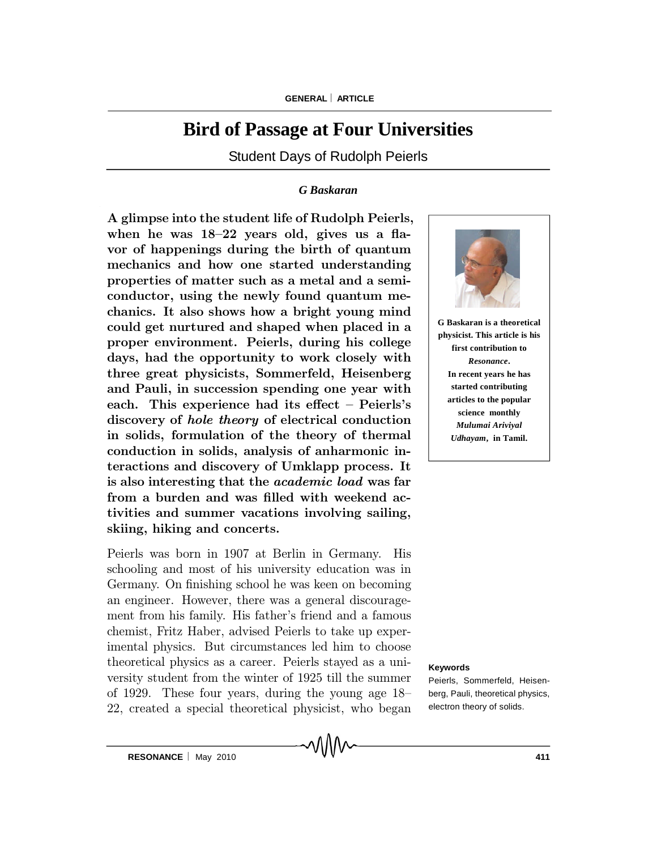# **Bird of Passage at Four Universities**

Student Days of Rudolph Peierls

#### *G Baskaran*

A glimpse into the student life of Rudolph Peierls, when he was  $18-22$  years old, gives us a flavor of happenings during the birth of quantum mechanics and how one started understanding properties of matter such as a metal and a semiconductor, using the newly found quantum mechanics. It also shows how a bright young mind could get nurtured and shaped when placed in a proper environment. Peierls, during his college days, had the opportunity to work closely with three great physicists, Sommerfeld, Heisenberg and Pauli, in succession spending one year with each. This experience had its effect  $-$  Peierls's discovery of hole theory of electrical conduction in solids, formulation of the theory of thermal conduction in solids, analysis of anharmonic interactions and discovery of Umklapp process. It is also interesting that the academic load was far from a burden and was filled with weekend activities and summer vacations involving sailing, skiing, hiking and concerts.

Peierls was born in 1907 at Berlin in Germany. His schooling and most of his university education was in Germany. On finishing school he was keen on becoming an engineer. However, there was a general discouragement from his family. His father's friend and a famous chemist, Fritz Haber, advised Peierls to take up experimental physics. But circumstances led him to choose theoretical physics as a career. Peierls stayed as a university student from the winter of 1925 till the summer of 1929. These four years, during the young age  $18-$ 22, created a special theoretical physicist, who began



**G Baskaran is a theoretical physicist. This article is his first contribution to** *Resonance***. In recent years he has started contributing articles to the popular science monthly** *Mulumai Ariviyal Udhayam***, in Tamil.**

#### **Keywords**

Peierls, Sommerfeld, Heisenberg, Pauli, theoretical physics, electron theory of solids.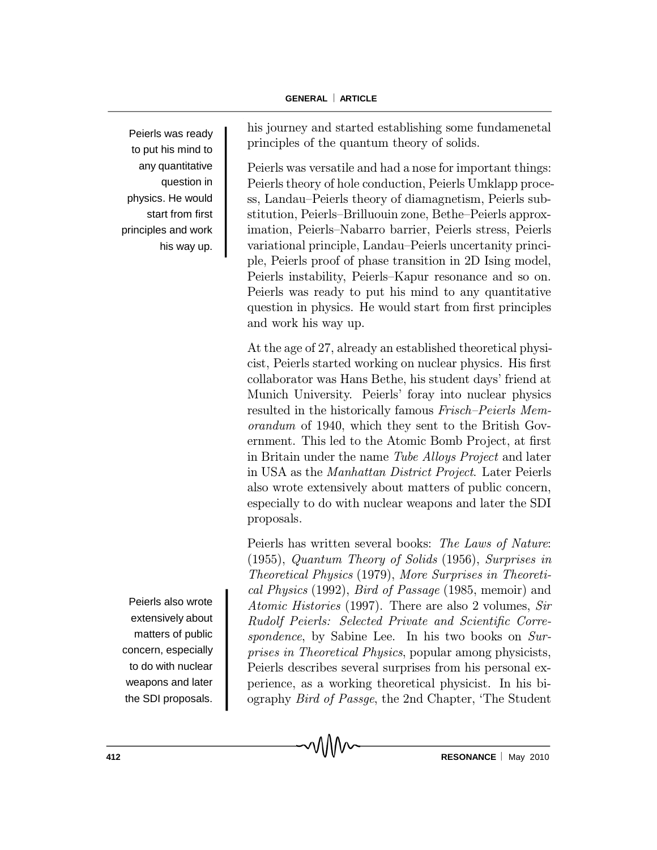Peierls was ready to put his mind to any quantitative question in physics. He would start from first principles and work his way up.

Peierls also wrote extensively about matters of public concern, especially to do with nuclear weapons and later the SDI proposals.

his journey and started establishing some fundamenetal principles of the quantum theory of solids.

Peierls was versatile and had a nose for important things: Peierls theory of hole conduction, Peierls Umklapp process, Landau–Peierls theory of diamagnetism, Peierls substitution, Peierls-Brilluouin zone, Bethe-Peierls approximation, Peierls{Nabarro barrier, Peierls stress, Peierls variational principle, Landau–Peierls uncertanity principle, Peierls proof of phase transition in 2D Ising model, Peierls instability, Peierls-Kapur resonance and so on. Peierls was ready to put his mind to any quantitative question in physics. He would start from first principles and work his way up.

At the age of 27, already an established theoretical physicist, Peierls started working on nuclear physics. His first collaborator was Hans Bethe, his student days' friend at Munich University. Peierls' foray into nuclear physics resulted in the historically famous Frisch-Peierls Memorandum of 1940, which they sent to the British Government. This led to the Atomic Bomb Project, at first in Britain under the name Tube Alloys Project and later in USA as the Manhattan District Project. Later Peierls also wrote extensively about matters of public concern, especially to do with nuclear weapons and later the SDI proposals.

Peierls has written several books: The Laws of Nature: (1955), Quantum Theory of Solids (1956), Surprises in Theoretical Physics (1979), More Surprises in Theoretical Physics (1992), Bird of Passage (1985, memoir) and Atomic Histories (1997). There are also 2 volumes, Sir Rudolf Peierls: Selected Private and Scientific Correspondence, by Sabine Lee. In his two books on Surprises in Theoretical Physics, popular among physicists, Peierls describes several surprises from his personal experience, as a working theoretical physicist. In his biography *Bird of Passge*, the 2nd Chapter, 'The Student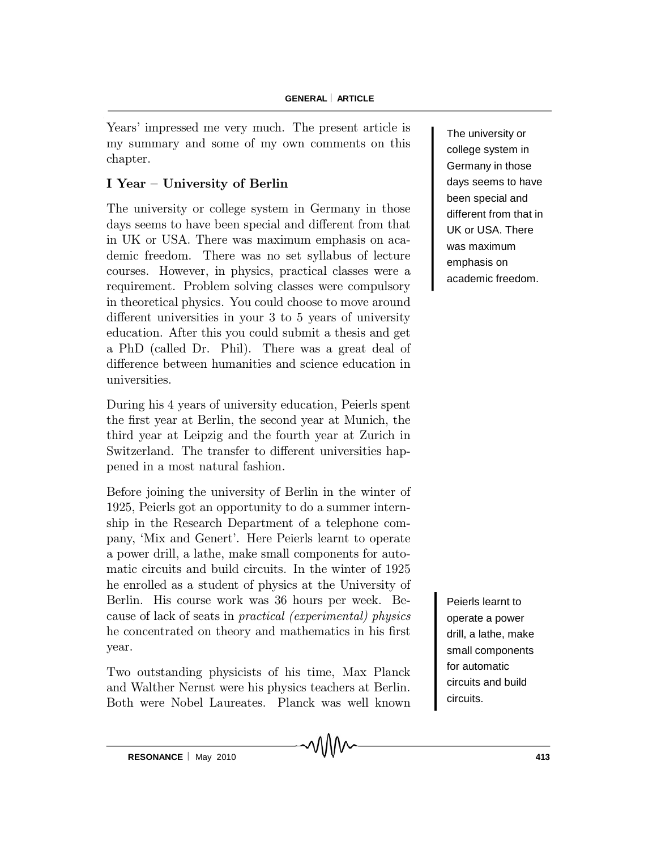Years' impressed me very much. The present article is my summary and some of my own comments on this chapter.

# I Year – University of Berlin

The university or college system in Germany in those days seems to have been special and different from that in UK or USA. There was maximum emphasis on academic freedom. There was no set syllabus of lecture courses. However, in physics, practical classes were a requirement. Problem solving classes were compulsory in theoretical physics. You could choose to move around different universities in your 3 to 5 years of university education. After this you could submit a thesis and get a PhD (called Dr. Phil). There was a great deal of difference between humanities and science education in universities.

During his 4 years of university education, Peierls spent the first year at Berlin, the second year at Munich, the third year at Leipzig and the fourth year at Zurich in Switzerland. The transfer to different universities happened in a most natural fashion.

Before joining the university of Berlin in the winter of 1925, Peierls got an opportunity to do a summer internship in the Research Department of a telephone company, `Mix and Genert'. Here Peierls learnt to operate a power drill, a lathe, make small components for automatic circuits and build circuits. In the winter of 1925 he enrolled as a student of physics at the University of Berlin. His course work was 36 hours per week. Because of lack of seats in practical (experimental) physics he concentrated on theory and mathematics in his first year.

Two outstanding physicists of his time, Max Planck and Walther Nernst were his physics teachers at Berlin. Both were Nobel Laureates. Planck was well known

The university or college system in Germany in those days seems to have been special and different from that in UK or USA. There was maximum emphasis on academic freedom.

Peierls learnt to operate a power drill, a lathe, make small components for automatic circuits and build circuits.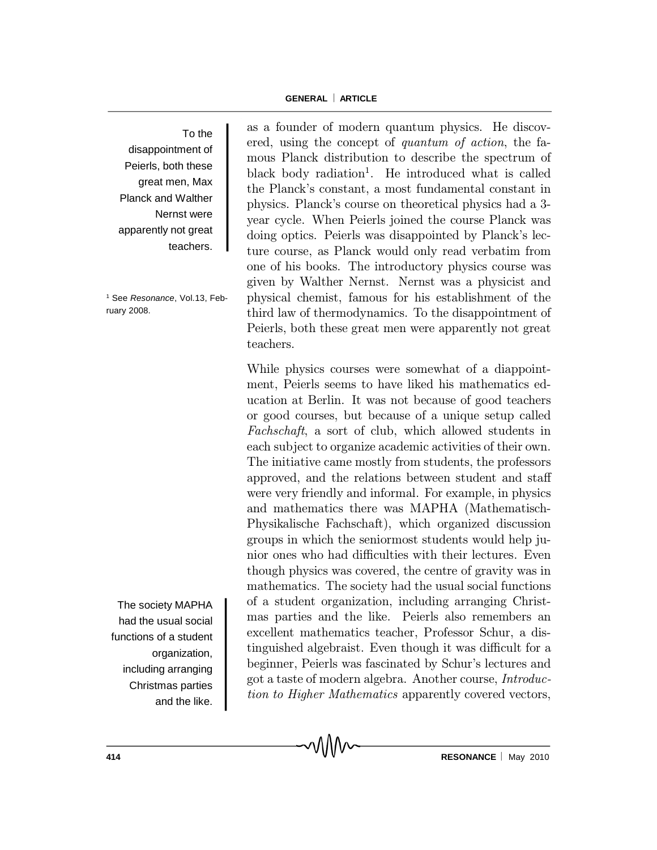To the disappointment of Peierls, both these great men, Max Planck and Walther Nernst were apparently not great teachers.

<sup>1</sup> See *Resonance*, Vol.13, February 2008.

The society MAPHA had the usual social functions of a student organization, including arranging Christmas parties and the like.

as a founder of modern quantum physics. He discovered, using the concept of quantum of action, the famous Planck distribution to describe the spectrum of black body radiation 1 . He introduced what is called the Planck's constant, a most fundamental constant in physics. Planck's course on theoretical physics had a 3 year cycle. When Peierls joined the course Planck was doing optics. Peierls was disappointed by Planck's lecture course, as Planck would only read verbatim from one of his books. The introductory physics course was given by Walther Nernst. Nernst was a physicist and physical chemist, famous for his establishment of the third law of thermodynamics. To the disappointment of Peierls, both these great men were apparently not great teachers.

While physics courses were somewhat of a diappointment, Peierls seems to have liked his mathematics education at Berlin. It was not because of good teachers or good courses, but because of a unique setup called Fachschaft, a sort of club, which allowed students in each subject to organize academic activities of their own. The initiative came mostly from students, the professors approved, and the relations between student and staff were very friendly and informal. For example, in physics and mathematics there was MAPHA (Mathematisch-Physikalische Fachschaft), which organized discussion groups in which the seniormost students would help junior ones who had difficulties with their lectures. Even though physics was covered, the centre of gravity was in mathematics. The society had the usual social functions of a student organization, including arranging Christmas parties and the like. Peierls also remembers an excellent mathematics teacher, Professor Schur, a distinguished algebraist. Even though it was difficult for a beginner, Peierls was fascinated by Schur's lectures and got a taste of modern algebra. Another course, Introduction to Higher Mathematics apparently covered vectors,

**414 RESONANCE** May 2010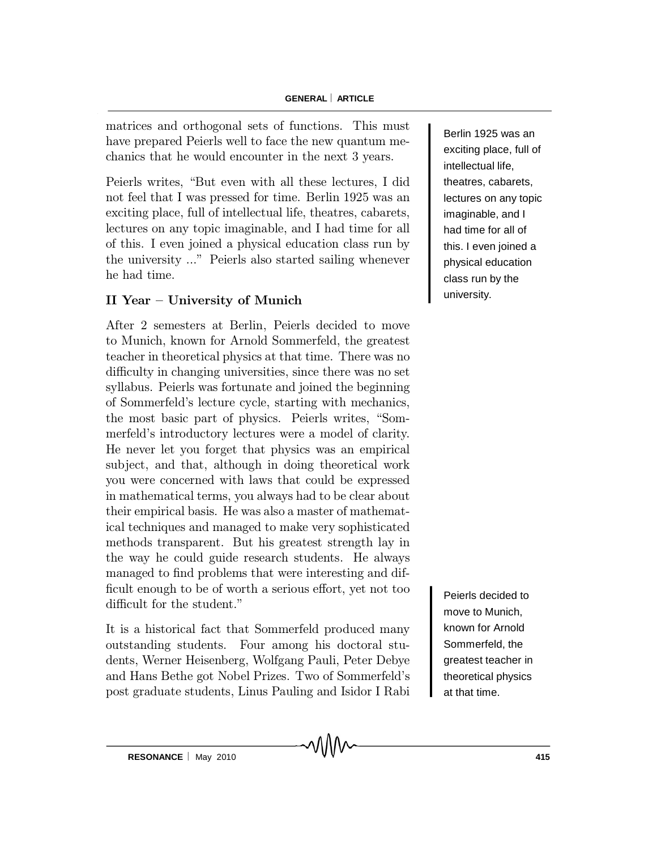matrices and orthogonal sets of functions. This must have prepared Peierls well to face the new quantum mechanics that he would encounter in the next 3 years.

Peierls writes, "But even with all these lectures, I did not feel that I was pressed for time. Berlin 1925 was an exciting place, full of intellectual life, theatres, cabarets, lectures on any topic imaginable, and I had time for all of this. I even joined a physical education class run by the university ..." Peierls also started sailing whenever he had time.

# II Year  $-$  University of Munich

After 2 semesters at Berlin, Peierls decided to move to Munich, known for Arnold Sommerfeld, the greatest teacher in theoretical physics at that time. There was no difficulty in changing universities, since there was no set syllabus. Peierls was fortunate and joined the beginning of Sommerfeld's lecture cycle, starting with mechanics, the most basic part of physics. Peierls writes, "Sommerfeld's introductory lectures were a model of clarity. He never let you forget that physics was an empirical subject, and that, although in doing theoretical work you were concerned with laws that could be expressed in mathematical terms, you always had to be clear about their empirical basis. He was also a master of mathematical techniques and managed to make very sophisticated methods transparent. But his greatest strength lay in the way he could guide research students. He always managed to find problems that were interesting and difficult enough to be of worth a serious effort, yet not too difficult for the student."

It is a historical fact that Sommerfeld produced many outstanding students. Four among his doctoral students, Werner Heisenberg, Wolfgang Pauli, Peter Debye and Hans Bethe got Nobel Prizes. Two of Sommerfeld's post graduate students, Linus Pauling and Isidor I Rabi

Berlin 1925 was an exciting place, full of intellectual life, theatres, cabarets, lectures on any topic imaginable, and I had time for all of this. I even joined a physical education class run by the university.

Peierls decided to move to Munich, known for Arnold Sommerfeld, the greatest teacher in theoretical physics at that time.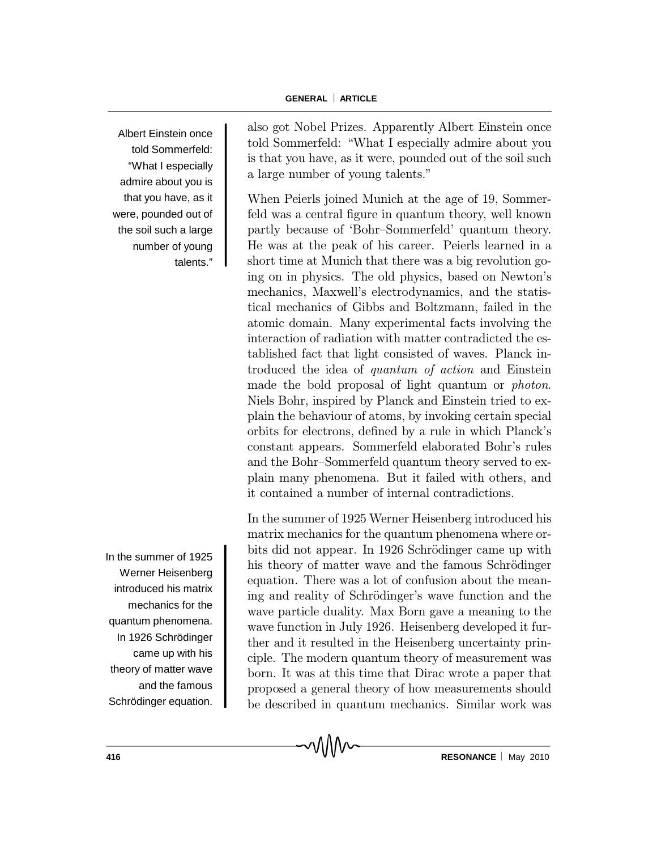Albert Einstein once told Sommerfeld: "What I especially admire about you is that you have, as it were, pounded out of the soil such a large number of young talents."

In the summer of 1925 Werner Heisenberg introduced his matrix mechanics for the quantum phenomena. In 1926 Schrödinger came up with his theory of matter wave and the famous Schrödinger equation.

also got Nobel Prizes. Apparently Albert Einstein once told Sommerfeld: \What I especially admire about you is that you have, as it were, pounded out of the soil such a large number of young talents."

When Peierls joined Munich at the age of 19, Sommerfeld was a central figure in quantum theory, well known partly because of 'Bohr-Sommerfeld' quantum theory. He was at the peak of his career. Peierls learned in a short time at Munich that there was a big revolution going on in physics. The old physics, based on Newton's mechanics, Maxwell's electrodynamics, and the statistical mechanics of Gibbs and Boltzmann, failed in the atomic domain. Many experimental facts involving the interaction of radiation with matter contradicted the established fact that light consisted of waves. Planck introduced the idea of quantum of action and Einstein made the bold proposal of light quantum or *photon*. Niels Bohr, inspired by Planck and Einstein tried to explain the behaviour of atoms, by invoking certain special orbits for electrons, defined by a rule in which Planck's constant appears. Sommerfeld elaborated Bohr's rules and the Bohr-Sommerfeld quantum theory served to explain many phenomena. But it failed with others, and it contained a number of internal contradictions.

In the summer of 1925 Werner Heisenberg introduced his matrix mechanics for the quantum phenomena where orbits did not appear. In 1926 Schrödinger came up with his theory of matter wave and the famous Schrödinger equation. There was a lot of confusion about the meaning and reality of Schrödinger's wave function and the wave particle duality. Max Born gave a meaning to the wave function in July 1926. Heisenberg developed it further and it resulted in the Heisenberg uncertainty principle. The modern quantum theory of measurement was born. It was at this time that Dirac wrote a paper that proposed a general theory of how measurements should be described in quantum mechanics. Similar work was

**416 RESONANCE** | May 2010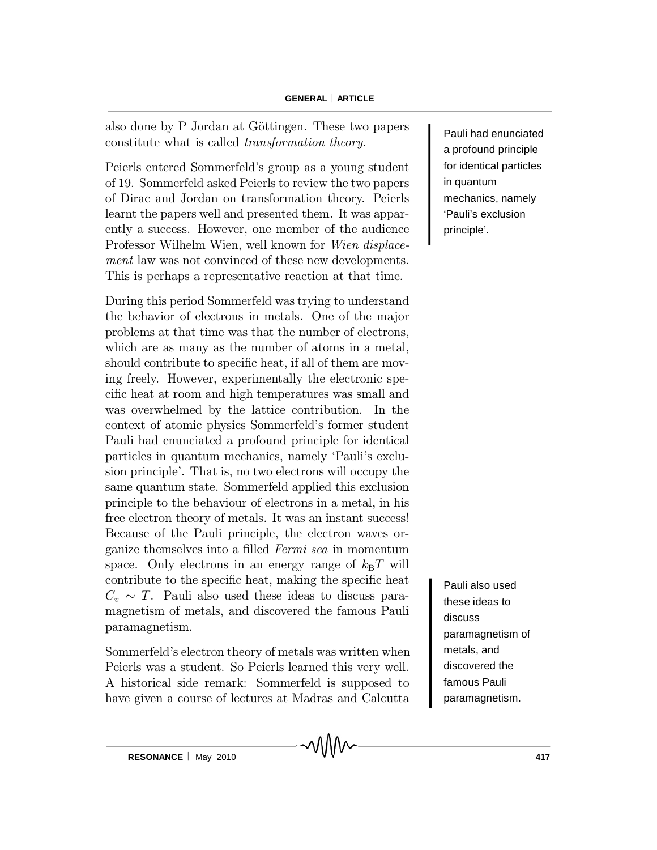also done by P Jordan at Göttingen. These two papers constitute what is called transformation theory.

Peierls entered Sommerfeld's group as a young student of 19. Sommerfeld asked Peierls to review the two papers of Dirac and Jordan on transformation theory. Peierls learnt the papers well and presented them. It was apparently a success. However, one member of the audience Professor Wilhelm Wien, well known for Wien displacement law was not convinced of these new developments. This is perhaps a representative reaction at that time.

During this period Sommerfeld was trying to understand the behavior of electrons in metals. One of the major problems at that time was that the number of electrons, which are as many as the number of atoms in a metal, should contribute to specific heat, if all of them are moving freely. However, experimentally the electronic specific heat at room and high temperatures was small and was overwhelmed by the lattice contribution. In the context of atomic physics Sommerfeld's former student Pauli had enunciated a profound principle for identical particles in quantum mechanics, namely `Pauli's exclusion principle'. That is, no two electrons will occupy the same quantum state. Sommerfeld applied this exclusion principle to the behaviour of electrons in a metal, in his free electron theory of metals. It was an instant success! Because of the Pauli principle, the electron waves organize themselves into a filled  $Fermi, sea$  in momentum space. Only electrons in an energy range of  $k_BT$  will contribute to the specific heat, making the specific heat  $C_v \sim T$ . Pauli also used these ideas to discuss paramagnetism of metals, and discovered the famous Pauli paramagnetism.

Sommerfeld's electron theory of metals was written when Peierls was a student. So Peierls learned this very well. A historical side remark: Sommerfeld is supposed to have given a course of lectures at Madras and Calcutta

Pauli had enunciated a profound principle for identical particles in quantum mechanics, namely 'Pauli's exclusion principle'.

Pauli also used these ideas to discuss paramagnetism of metals, and discovered the famous Pauli paramagnetism.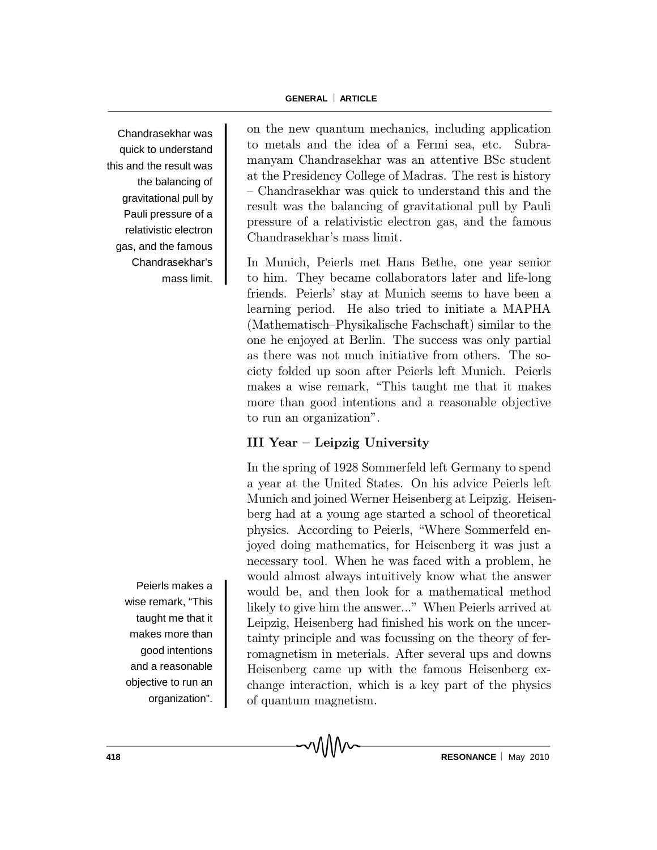Chandrasekhar was quick to understand this and the result was the balancing of gravitational pull by Pauli pressure of a relativistic electron gas, and the famous Chandrasekhar's mass limit.

> Peierls makes a wise remark, "This taught me that it makes more than good intentions and a reasonable objective to run an organization".

on the new quantum mechanics, including application to metals and the idea of a Fermi sea, etc. Subramanyam Chandrasekhar was an attentive BSc student at the Presidency College of Madras. The rest is history { Chandrasekhar was quick to understand this and the result was the balancing of gravitational pull by Pauli pressure of a relativistic electron gas, and the famous Chandrasekhar's mass limit.

In Munich, Peierls met Hans Bethe, one year senior to him. They became collaborators later and life-long friends. Peierls' stay at Munich seems to have been a learning period. He also tried to initiate a MAPHA (Mathematisch-Physikalische Fachschaft) similar to the one he enjoyed at Berlin. The success was only partial as there was not much initiative from others. The society folded up soon after Peierls left Munich. Peierls makes a wise remark, "This taught me that it makes more than good intentions and a reasonable objective to run an organization".

### III Year  $-$  Leipzig University

In the spring of 1928 Sommerfeld left Germany to spend a year at the United States. On his advice Peierls left Munich and joined Werner Heisenberg at Leipzig. Heisenberg had at a young age started a school of theoretical physics. According to Peierls, \Where Sommerfeld enjoyed doing mathematics, for Heisenberg it was just a necessary tool. When he was faced with a problem, he would almost always intuitively know what the answer would be, and then look for a mathematical method likely to give him the answer..." When Peierls arrived at Leipzig, Heisenberg had finished his work on the uncertainty principle and was focussing on the theory of ferromagnetism in meterials. After several ups and downs Heisenberg came up with the famous Heisenberg exchange interaction, which is a key part of the physics of quantum magnetism.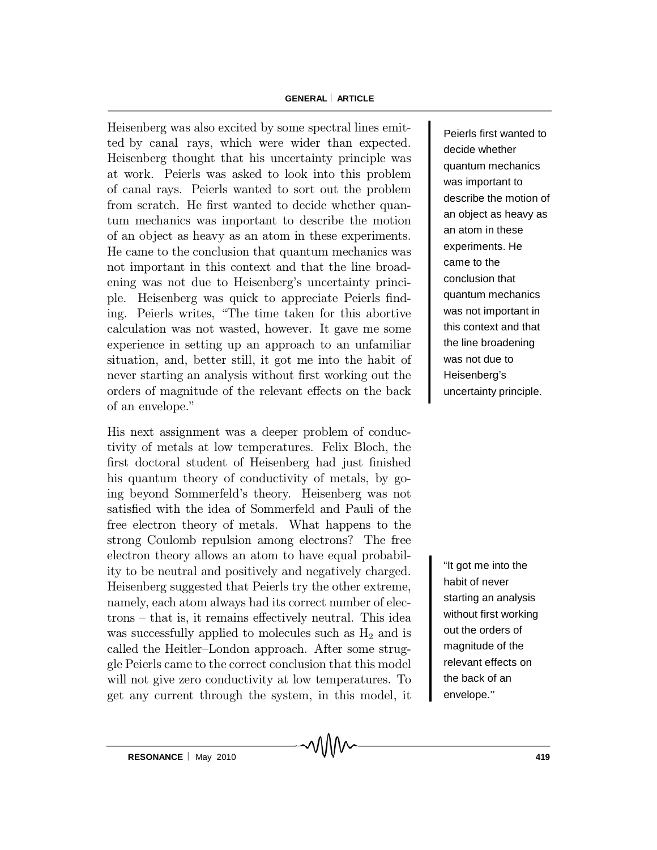#### **GENERAL ARTICLE**

Heisenberg was also excited by some spectral lines emitted by canal rays, which were wider than expected. Heisenberg thought that his uncertainty principle was at work. Peierls was asked to look into this problem of canal rays. Peierls wanted to sort out the problem from scratch. He first wanted to decide whether quantum mechanics was important to describe the motion of an object as heavy as an atom in these experiments. He came to the conclusion that quantum mechanics was not important in this context and that the line broadening was not due to Heisenberg's uncertainty principle. Heisenberg was quick to appreciate Peierls finding. Peierls writes, \The time taken for this abortive calculation was not wasted, however. It gave me some experience in setting up an approach to an unfamiliar situation, and, better still, it got me into the habit of never starting an analysis without first working out the orders of magnitude of the relevant effects on the back of an envelope."

His next assignment was a deeper problem of conductivity of metals at low temperatures. Felix Bloch, the first doctoral student of Heisenberg had just finished his quantum theory of conductivity of metals, by going beyond Sommerfeld's theory. Heisenberg was not satisfied with the idea of Sommerfeld and Pauli of the free electron theory of metals. What happens to the strong Coulomb repulsion among electrons? The free electron theory allows an atom to have equal probability to be neutral and positively and negatively charged. Heisenberg suggested that Peierls try the other extreme, namely, each atom always had its correct number of electrons – that is, it remains effectively neutral. This idea was successfully applied to molecules such as  $H_2$  and is called the Heitler-London approach. After some struggle Peierls came to the correct conclusion that this model will not give zero conductivity at low temperatures. To get any current through the system, in this model, it Peierls first wanted to decide whether quantum mechanics was important to describe the motion of an object as heavy as an atom in these experiments. He came to the conclusion that quantum mechanics was not important in this context and that the line broadening was not due to Heisenberg's uncertainty principle.

"It got me into the habit of never starting an analysis without first working out the orders of magnitude of the relevant effects on the back of an envelope.''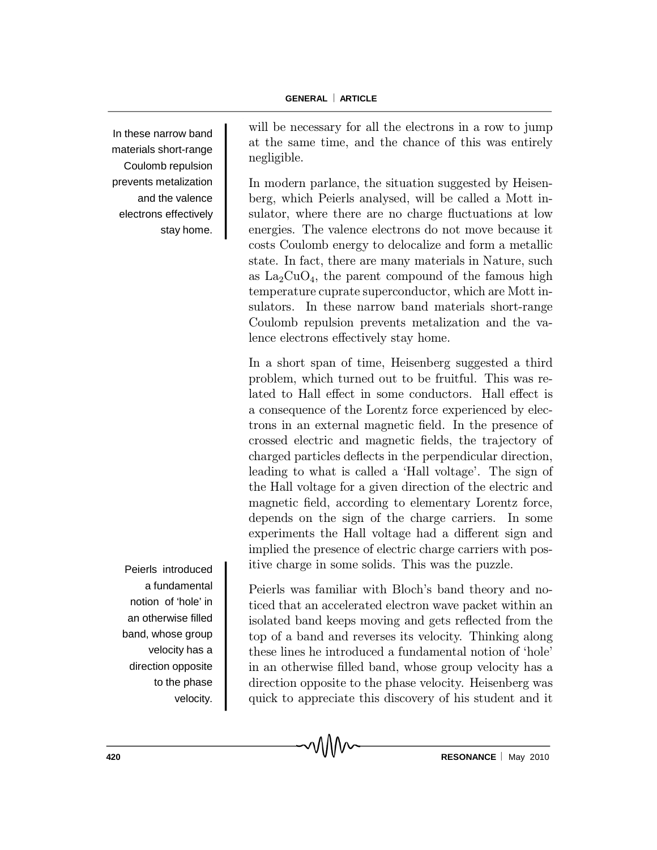In these narrow band materials short-range Coulomb repulsion prevents metalization and the valence electrons effectively stay home.

Peierls introduced a fundamental notion of 'hole' in an otherwise filled band, whose group velocity has a direction opposite to the phase velocity.

will be necessary for all the electrons in a row to jump at the same time, and the chance of this was entirely negligible.

In modern parlance, the situation suggested by Heisenberg, which Peierls analysed, will be called a Mott insulator, where there are no charge fluctuations at low energies. The valence electrons do not move because it costs Coulomb energy to delocalize and form a metallic state. In fact, there are many materials in Nature, such as  $La_2CuO_4$ , the parent compound of the famous high temperature cuprate superconductor, which are Mott insulators. In these narrow band materials short-range Coulomb repulsion prevents metalization and the valence electrons effectively stay home.

In a short span of time, Heisenberg suggested a third problem, which turned out to be fruitful. This was related to Hall effect in some conductors. Hall effect is a consequence of the Lorentz force experienced by electrons in an external magnetic field. In the presence of crossed electric and magnetic fields, the trajectory of charged particles deflects in the perpendicular direction, leading to what is called a 'Hall voltage'. The sign of the Hall voltage for a given direction of the electric and magnetic field, according to elementary Lorentz force, depends on the sign of the charge carriers. In some experiments the Hall voltage had a different sign and implied the presence of electric charge carriers with positive charge in some solids. This was the puzzle.

Peierls was familiar with Bloch's band theory and noticed that an accelerated electron wave packet within an isolated band keeps moving and gets reflected from the top of a band and reverses its velocity. Thinking along these lines he introduced a fundamental notion of `hole' in an otherwise filled band, whose group velocity has a direction opposite to the phase velocity. Heisenberg was quick to appreciate this discovery of his student and it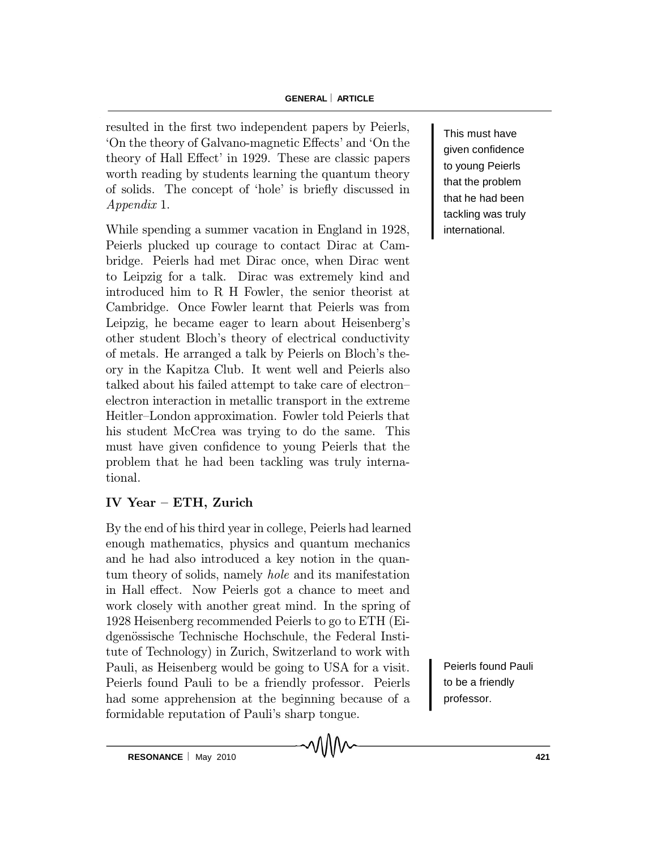resulted in the first two independent papers by Peierls, `On the theory of Galvano-magnetic E®ects' and `On the theory of Hall Effect' in 1929. These are classic papers worth reading by students learning the quantum theory of solids. The concept of 'hole' is briefly discussed in Appendix 1.

While spending a summer vacation in England in 1928, Peierls plucked up courage to contact Dirac at Cambridge. Peierls had met Dirac once, when Dirac went to Leipzig for a talk. Dirac was extremely kind and introduced him to R H Fowler, the senior theorist at Cambridge. Once Fowler learnt that Peierls was from Leipzig, he became eager to learn about Heisenberg's other student Bloch's theory of electrical conductivity of metals. He arranged a talk by Peierls on Bloch's theory in the Kapitza Club. It went well and Peierls also talked about his failed attempt to take care of electron{ electron interaction in metallic transport in the extreme Heitler-London approximation. Fowler told Peierls that his student McCrea was trying to do the same. This must have given confidence to young Peierls that the problem that he had been tackling was truly international.

# IV Year { ETH, Zurich

By the end of his third year in college, Peierls had learned enough mathematics, physics and quantum mechanics and he had also introduced a key notion in the quantum theory of solids, namely hole and its manifestation in Hall effect. Now Peierls got a chance to meet and work closely with another great mind. In the spring of 1928 Heisenberg recommended Peierls to go to ETH (Eidgenössische Technische Hochschule, the Federal Institute of Technology) in Zurich, Switzerland to work with Pauli, as Heisenberg would be going to USA for a visit. Peierls found Pauli to be a friendly professor. Peierls had some apprehension at the beginning because of a formidable reputation of Pauli's sharp tongue.

This must have given confidence to young Peierls that the problem that he had been tackling was truly international.

Peierls found Pauli to be a friendly professor.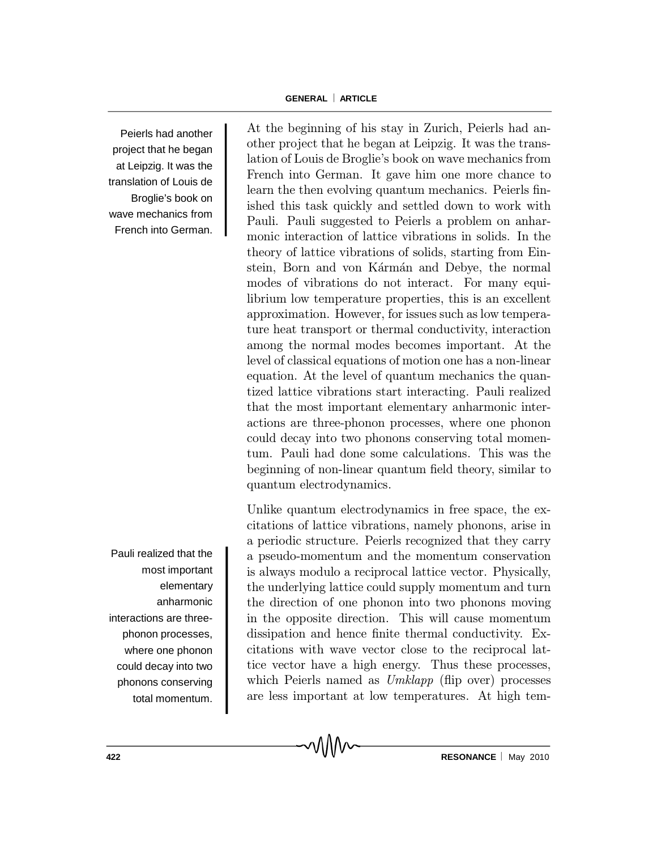Peierls had another project that he began at Leipzig. It was the translation of Louis de Broglie's book on wave mechanics from French into German.

Pauli realized that the most important elementary anharmonic interactions are threephonon processes, where one phonon could decay into two phonons conserving total momentum.

At the beginning of his stay in Zurich, Peierls had another project that he began at Leipzig. It was the translation of Louis de Broglie's book on wave mechanics from French into German. It gave him one more chance to learn the then evolving quantum mechanics. Peierls finished this task quickly and settled down to work with Pauli. Pauli suggested to Peierls a problem on anharmonic interaction of lattice vibrations in solids. In the theory of lattice vibrations of solids, starting from Einstein, Born and von Kármán and Debye, the normal modes of vibrations do not interact. For many equilibrium low temperature properties, this is an excellent approximation. However, for issues such as low temperature heat transport or thermal conductivity, interaction among the normal modes becomes important. At the level of classical equations of motion one has a non-linear equation. At the level of quantum mechanics the quantized lattice vibrations start interacting. Pauli realized that the most important elementary anharmonic interactions are three-phonon processes, where one phonon could decay into two phonons conserving total momentum. Pauli had done some calculations. This was the beginning of non-linear quantum field theory, similar to quantum electrodynamics.

Unlike quantum electrodynamics in free space, the excitations of lattice vibrations, namely phonons, arise in a periodic structure. Peierls recognized that they carry a pseudo-momentum and the momentum conservation is always modulo a reciprocal lattice vector. Physically, the underlying lattice could supply momentum and turn the direction of one phonon into two phonons moving in the opposite direction. This will cause momentum dissipation and hence finite thermal conductivity. Excitations with wave vector close to the reciprocal lattice vector have a high energy. Thus these processes, which Peierls named as  $Umklapp$  (flip over) processes are less important at low temperatures. At high tem-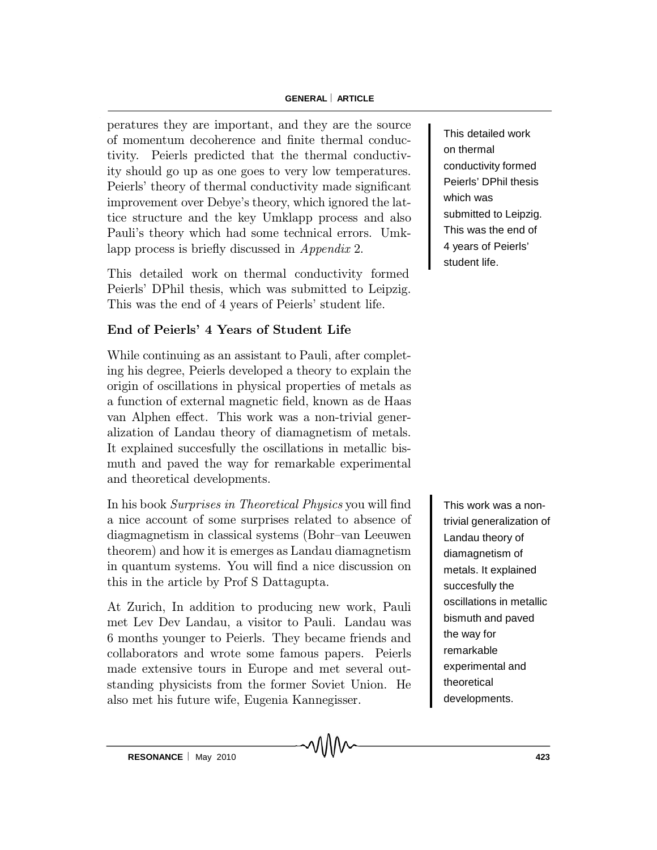### **GENERAL ARTICLE**

peratures they are important, and they are the source of momentum decoherence and finite thermal conductivity. Peierls predicted that the thermal conductivity should go up as one goes to very low temperatures. Peierls' theory of thermal conductivity made significant improvement over Debye's theory, which ignored the lattice structure and the key Umklapp process and also Pauli's theory which had some technical errors. Umklapp process is briefly discussed in  $Appendix$  2.

This detailed work on thermal conductivity formed Peierls' DPhil thesis, which was submitted to Leipzig. This was the end of 4 years of Peierls' student life.

### End of Peierls' 4 Years of Student Life

While continuing as an assistant to Pauli, after completing his degree, Peierls developed a theory to explain the origin of oscillations in physical properties of metals as a function of external magnetic field, known as de Haas van Alphen effect. This work was a non-trivial generalization of Landau theory of diamagnetism of metals. It explained succesfully the oscillations in metallic bismuth and paved the way for remarkable experimental and theoretical developments.

In his book Surprises in Theoretical Physics you will find a nice account of some surprises related to absence of diagmagnetism in classical systems (Bohr-van Leeuwen theorem) and how it is emerges as Landau diamagnetism in quantum systems. You will find a nice discussion on this in the article by Prof S Dattagupta.

At Zurich, In addition to producing new work, Pauli met Lev Dev Landau, a visitor to Pauli. Landau was 6 months younger to Peierls. They became friends and collaborators and wrote some famous papers. Peierls made extensive tours in Europe and met several outstanding physicists from the former Soviet Union. He also met his future wife, Eugenia Kannegisser.

MMW

This detailed work on thermal conductivity formed Peierls' DPhil thesis which was submitted to Leipzig. This was the end of 4 years of Peierls' student life.

This work was a nontrivial generalization of Landau theory of diamagnetism of metals. It explained succesfully the oscillations in metallic bismuth and paved the way for remarkable experimental and theoretical developments.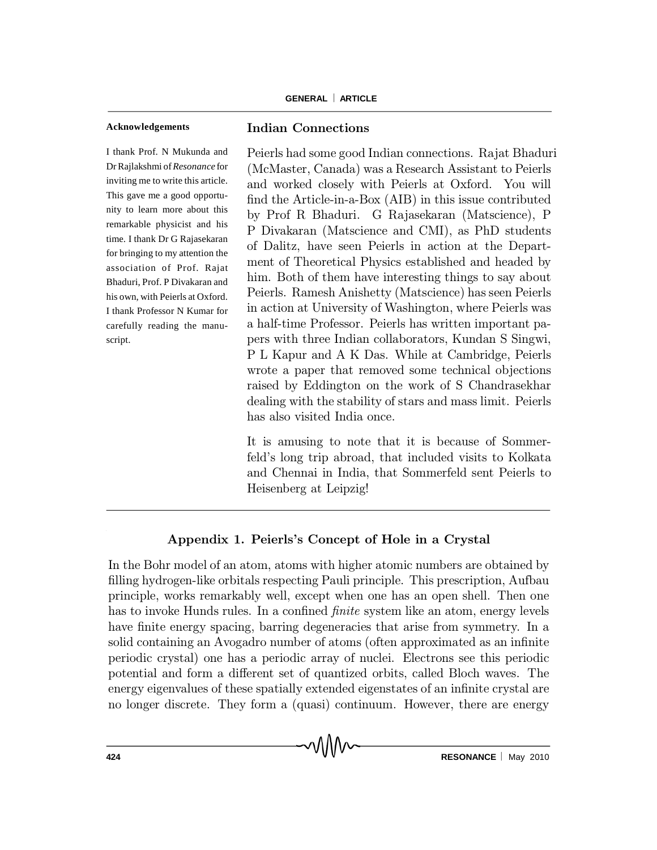#### **Acknowledgements**

#### Indian Connections

I thank Prof. N Mukunda and Dr Rajlakshmi of*Resonance* for inviting me to write this article. This gave me a good opportunity to learn more about this remarkable physicist and his time. I thank Dr G Rajasekaran for bringing to my attention the association of Prof. Rajat Bhaduri, Prof. P Divakaran and his own, with Peierls at Oxford. I thank Professor N Kumar for carefully reading the manuscript.

Peierls had some good Indian connections. Rajat Bhaduri (McMaster, Canada) was a Research Assistant to Peierls and worked closely with Peierls at Oxford. You will find the Article-in-a-Box  $(AIB)$  in this issue contributed by Prof R Bhaduri. G Rajasekaran (Matscience), P P Divakaran (Matscience and CMI), as PhD students of Dalitz, have seen Peierls in action at the Department of Theoretical Physics established and headed by him. Both of them have interesting things to say about Peierls. Ramesh Anishetty (Matscience) has seen Peierls in action at University of Washington, where Peierls was a half-time Professor. Peierls has written important papers with three Indian collaborators, Kundan S Singwi, P L Kapur and A K Das. While at Cambridge, Peierls wrote a paper that removed some technical objections raised by Eddington on the work of S Chandrasekhar dealing with the stability of stars and mass limit. Peierls has also visited India once.

It is amusing to note that it is because of Sommerfeld's long trip abroad, that included visits to Kolkata and Chennai in India, that Sommerfeld sent Peierls to Heisenberg at Leipzig!

### Appendix 1. Peierls's Concept of Hole in a Crystal

In the Bohr model of an atom, atoms with higher atomic numbers are obtained by filling hydrogen-like orbitals respecting Pauli principle. This prescription, Aufbau principle, works remarkably well, except when one has an open shell. Then one has to invoke Hunds rules. In a confined *finite* system like an atom, energy levels have finite energy spacing, barring degeneracies that arise from symmetry. In a solid containing an Avogadro number of atoms (often approximated as an infinite periodic crystal) one has a periodic array of nuclei. Electrons see this periodic potential and form a different set of quantized orbits, called Bloch waves. The energy eigenvalues of these spatially extended eigenstates of an infinite crystal are no longer discrete. They form a (quasi) continuum. However, there are energy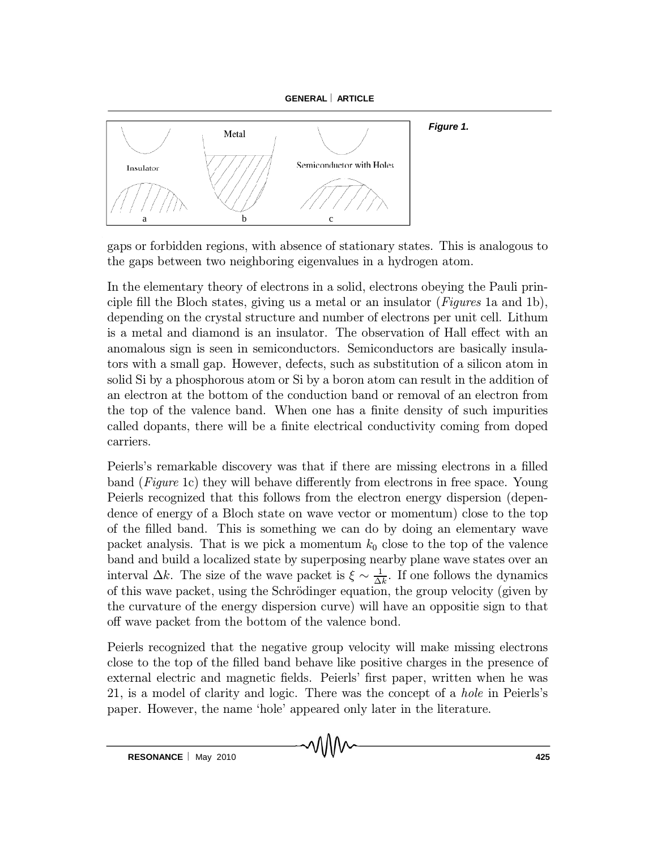#### **GENERAL ARTICLE**



gaps or forbidden regions, with absence of stationary states. This is analogous to the gaps between two neighboring eigenvalues in a hydrogen atom.

In the elementary theory of electrons in a solid, electrons obeying the Pauli principle fill the Bloch states, giving us a metal or an insulator (*Figures* 1a and 1b), depending on the crystal structure and number of electrons per unit cell. Lithum is a metal and diamond is an insulator. The observation of Hall effect with an anomalous sign is seen in semiconductors. Semiconductors are basically insulators with a small gap. However, defects, such as substitution of a silicon atom in solid Si by a phosphorous atom or Si by a boron atom can result in the addition of an electron at the bottom of the conduction band or removal of an electron from the top of the valence band. When one has a finite density of such impurities called dopants, there will be a finite electrical conductivity coming from doped carriers.

Peierls's remarkable discovery was that if there are missing electrons in a filled band ( $Figure 1c$ ) they will behave differently from electrons in free space. Young Peierls recognized that this follows from the electron energy dispersion (dependence of energy of a Bloch state on wave vector or momentum) close to the top of the filled band. This is something we can do by doing an elementary wave packet analysis. That is we pick a momentum  $k_0$  close to the top of the valence band and build a localized state by superposing nearby plane wave states over an interval  $\Delta k$ . The size of the wave packet is  $\xi \sim \frac{1}{\Delta k}$  $\frac{1}{\Delta k}$ . If one follows the dynamics of this wave packet, using the Schrödinger equation, the group velocity (given by the curvature of the energy dispersion curve) will have an oppositie sign to that off wave packet from the bottom of the valence bond.

Peierls recognized that the negative group velocity will make missing electrons close to the top of the filled band behave like positive charges in the presence of external electric and magnetic fields. Peierls' first paper, written when he was 21, is a model of clarity and logic. There was the concept of a hole in Peierls's paper. However, the name `hole' appeared only later in the literature.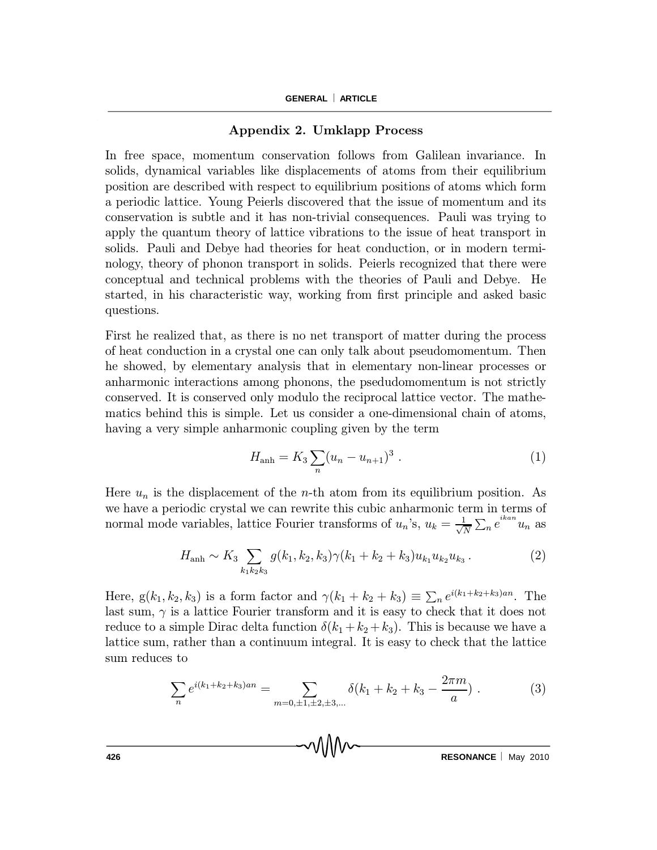### Appendix 2. Umklapp Process

In free space, momentum conservation follows from Galilean invariance. In solids, dynamical variables like displacements of atoms from their equilibrium position are described with respect to equilibrium positions of atoms which form a periodic lattice. Young Peierls discovered that the issue of momentum and its conservation is subtle and it has non-trivial consequences. Pauli was trying to apply the quantum theory of lattice vibrations to the issue of heat transport in solids. Pauli and Debye had theories for heat conduction, or in modern terminology, theory of phonon transport in solids. Peierls recognized that there were conceptual and technical problems with the theories of Pauli and Debye. He started, in his characteristic way, working from first principle and asked basic questions.

First he realized that, as there is no net transport of matter during the process of heat conduction in a crystal one can only talk about pseudomomentum. Then he showed, by elementary analysis that in elementary non-linear processes or anharmonic interactions among phonons, the psedudomomentum is not strictly conserved. It is conserved only modulo the reciprocal lattice vector. The mathematics behind this is simple. Let us consider a one-dimensional chain of atoms, having a very simple anharmonic coupling given by the term

$$
H_{\text{anh}} = K_3 \sum_{n} (u_n - u_{n+1})^3 \tag{1}
$$

Here  $u_n$  is the displacement of the *n*-th atom from its equilibrium position. As we have a periodic crystal we can rewrite this cubic anharmonic term in terms of normal mode variables, lattice Fourier transforms of  $u_n$ 's,  $u_k = \frac{1}{\sqrt{k}}$  $\frac{1}{N} \sum_n e^{ikan} u_n$  as

$$
H_{\text{anh}} \sim K_3 \sum_{k_1 k_2 k_3} g(k_1, k_2, k_3) \gamma(k_1 + k_2 + k_3) u_{k_1} u_{k_2} u_{k_3} . \tag{2}
$$

Here,  $g(k_1, k_2, k_3)$  is a form factor and  $\gamma(k_1 + k_2 + k_3) \equiv \sum_n e^{i(k_1 + k_2 + k_3)a_n}$ . The last sum,  $\gamma$  is a lattice Fourier transform and it is easy to check that it does not reduce to a simple Dirac delta function  $\delta(k_1 + k_2 + k_3)$ . This is because we have a lattice sum, rather than a continuum integral. It is easy to check that the lattice sum reduces to

$$
\sum_{n} e^{i(k_1+k_2+k_3)an} = \sum_{m=0,\pm 1,\pm 2,\pm 3,\dots} \delta(k_1+k_2+k_3-\frac{2\pi m}{a}) \ . \tag{3}
$$